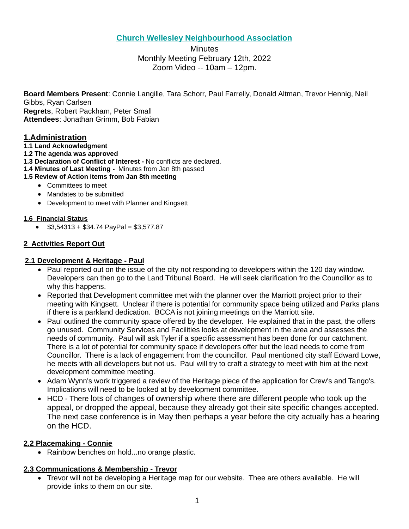# **Church Wellesley Neighbourhood Association**

**Minutes** Monthly Meeting February 12th, 2022 Zoom Video -- 10am – 12pm.

**Board Members Present**: Connie Langille, Tara Schorr, Paul Farrelly, Donald Altman, Trevor Hennig, Neil Gibbs, Ryan Carlsen **Regrets**, Robert Packham, Peter Small **Attendees**: Jonathan Grimm, Bob Fabian

# **1.Administration**

- **1.1 Land Acknowledgment**
- **1.2 The agenda was approved**
- **1.3 Declaration of Conflict of Interest -** No conflicts are declared.
- **1.4 Minutes of Last Meeting -** Minutes from Jan 8th passed
- **1.5 Review of Action items from Jan 8th meeting**
	- Committees to meet
	- Mandates to be submitted
	- Development to meet with Planner and Kingsett

## **1.6 Financial Status**

 $$3,54313 + $34.74$  PayPal = \$3,577.87

# **2 Activities Report Out**

## **2.1 Development & Heritage - Paul**

- Paul reported out on the issue of the city not responding to developers within the 120 day window. Developers can then go to the Land Tribunal Board. He will seek clarification fro the Councillor as to why this happens.
- Reported that Development committee met with the planner over the Marriott project prior to their meeting with Kingsett. Unclear if there is potential for community space being utilized and Parks plans if there is a parkland dedication. BCCA is not joining meetings on the Marriott site.
- Paul outlined the community space offered by the developer. He explained that in the past, the offers go unused. Community Services and Facilities looks at development in the area and assesses the needs of community. Paul will ask Tyler if a specific assessment has been done for our catchment. There is a lot of potential for community space if developers offer but the lead needs to come from Councillor. There is a lack of engagement from the councillor. Paul mentioned city staff Edward Lowe, he meets with all developers but not us. Paul will try to craft a strategy to meet with him at the next development committee meeting.
- Adam Wynn's work triggered a review of the Heritage piece of the application for Crew's and Tango's. Implications will need to be looked at by development committee.
- HCD There lots of changes of ownership where there are different people who took up the appeal, or dropped the appeal, because they already got their site specific changes accepted. The next case conference is in May then perhaps a year before the city actually has a hearing on the HCD.

## **2.2 Placemaking - Connie**

• Rainbow benches on hold...no orange plastic.

## **2.3 Communications & Membership - Trevor**

• Trevor will not be developing a Heritage map for our website. Thee are others available. He will provide links to them on our site.